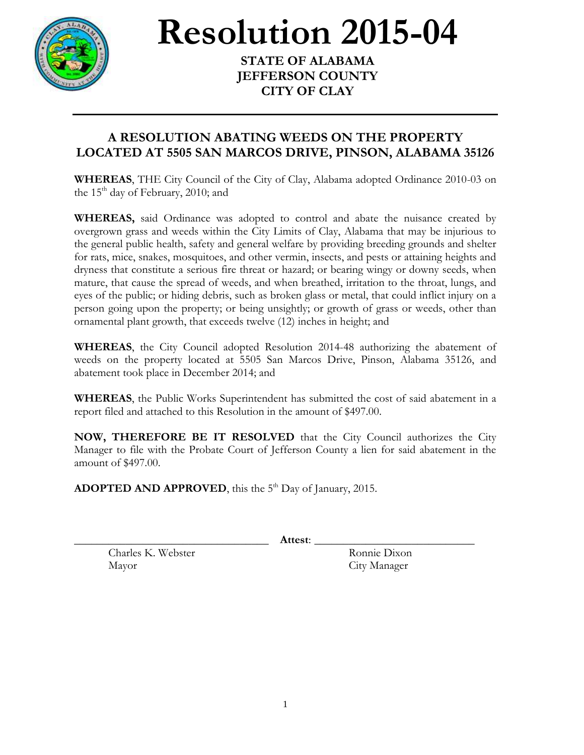

**Resolution 2015-04** 

**STATE OF ALABAMA JEFFERSON COUNTY CITY OF CLAY**

## **A RESOLUTION ABATING WEEDS ON THE PROPERTY LOCATED AT 5505 SAN MARCOS DRIVE, PINSON, ALABAMA 35126**

**WHEREAS**, THE City Council of the City of Clay, Alabama adopted Ordinance 2010-03 on the  $15<sup>th</sup>$  day of February, 2010; and

**WHEREAS,** said Ordinance was adopted to control and abate the nuisance created by overgrown grass and weeds within the City Limits of Clay, Alabama that may be injurious to the general public health, safety and general welfare by providing breeding grounds and shelter for rats, mice, snakes, mosquitoes, and other vermin, insects, and pests or attaining heights and dryness that constitute a serious fire threat or hazard; or bearing wingy or downy seeds, when mature, that cause the spread of weeds, and when breathed, irritation to the throat, lungs, and eyes of the public; or hiding debris, such as broken glass or metal, that could inflict injury on a person going upon the property; or being unsightly; or growth of grass or weeds, other than ornamental plant growth, that exceeds twelve (12) inches in height; and

**WHEREAS**, the City Council adopted Resolution 2014-48 authorizing the abatement of weeds on the property located at 5505 San Marcos Drive, Pinson, Alabama 35126, and abatement took place in December 2014; and

**WHEREAS**, the Public Works Superintendent has submitted the cost of said abatement in a report filed and attached to this Resolution in the amount of \$497.00.

**NOW, THEREFORE BE IT RESOLVED** that the City Council authorizes the City Manager to file with the Probate Court of Jefferson County a lien for said abatement in the amount of \$497.00.

ADOPTED AND APPROVED, this the 5<sup>th</sup> Day of January, 2015.

\_\_\_\_\_\_\_\_\_\_\_\_\_\_\_\_\_\_\_\_\_\_\_\_\_\_\_\_\_\_\_\_\_\_ **Attest**: \_\_\_\_\_\_\_\_\_\_\_\_\_\_\_\_\_\_\_\_\_\_\_\_\_\_\_\_

Charles K. Webster Ronnie Dixon Mayor City Manager